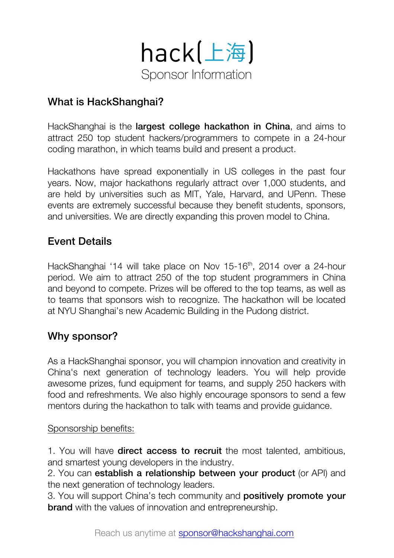

# What is HackShanghai?

HackShanghai is the largest college hackathon in China, and aims to attract 250 top student hackers/programmers to compete in a 24-hour coding marathon, in which teams build and present a product.

Hackathons have spread exponentially in US colleges in the past four years. Now, major hackathons regularly attract over 1,000 students, and are held by universities such as MIT, Yale, Harvard, and UPenn. These events are extremely successful because they benefit students, sponsors, and universities. We are directly expanding this proven model to China.

# Event Details

HackShanghai '14 will take place on Nov 15-16<sup>th</sup>, 2014 over a 24-hour period. We aim to attract 250 of the top student programmers in China and beyond to compete. Prizes will be offered to the top teams, as well as to teams that sponsors wish to recognize. The hackathon will be located at NYU Shanghai's new Academic Building in the Pudong district.

# Why sponsor?

As a HackShanghai sponsor, you will champion innovation and creativity in China's next generation of technology leaders. You will help provide awesome prizes, fund equipment for teams, and supply 250 hackers with food and refreshments. We also highly encourage sponsors to send a few mentors during the hackathon to talk with teams and provide guidance.

#### Sponsorship benefits:

1. You will have **direct access to recruit** the most talented, ambitious, and smartest young developers in the industry.

2. You can establish a relationship between your product (or API) and the next generation of technology leaders.

3. You will support China's tech community and **positively promote your brand** with the values of innovation and entrepreneurship.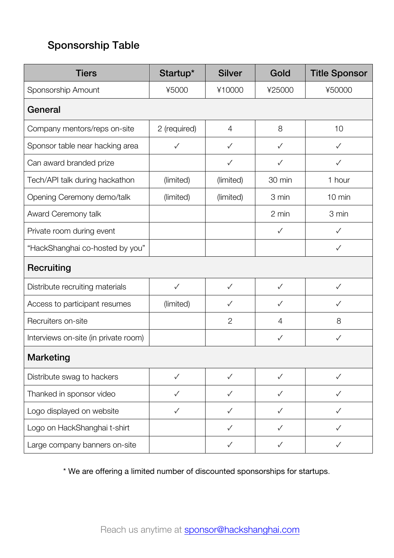# Sponsorship Table

| <b>Tiers</b>                         | Startup*     | <b>Silver</b>  | Gold           | <b>Title Sponsor</b> |  |  |  |
|--------------------------------------|--------------|----------------|----------------|----------------------|--|--|--|
| Sponsorship Amount                   | ¥5000        | ¥10000         | ¥25000         | ¥50000               |  |  |  |
| General                              |              |                |                |                      |  |  |  |
| Company mentors/reps on-site         | 2 (required) | $\overline{4}$ | 8              | 10                   |  |  |  |
| Sponsor table near hacking area      | $\checkmark$ | $\checkmark$   | $\checkmark$   | $\checkmark$         |  |  |  |
| Can award branded prize              |              | $\checkmark$   | ✓              | ✓                    |  |  |  |
| Tech/API talk during hackathon       | (limited)    | (limited)      | 30 min         | 1 hour               |  |  |  |
| Opening Ceremony demo/talk           | (limited)    | (limited)      | 3 min          | 10 min               |  |  |  |
| Award Ceremony talk                  |              |                | 2 min          | 3 min                |  |  |  |
| Private room during event            |              |                | $\checkmark$   | $\checkmark$         |  |  |  |
| "HackShanghai co-hosted by you"      |              |                |                | $\checkmark$         |  |  |  |
| <b>Recruiting</b>                    |              |                |                |                      |  |  |  |
| Distribute recruiting materials      | $\checkmark$ | $\checkmark$   | $\checkmark$   | $\checkmark$         |  |  |  |
| Access to participant resumes        | (limited)    | $\checkmark$   | ✓              | $\checkmark$         |  |  |  |
| Recruiters on-site                   |              | $\mathbf{2}$   | $\overline{4}$ | 8                    |  |  |  |
| Interviews on-site (in private room) |              |                | ✓              | ✓                    |  |  |  |
| <b>Marketing</b>                     |              |                |                |                      |  |  |  |
| Distribute swag to hackers           | $\checkmark$ | ✓              | $\checkmark$   | ✓                    |  |  |  |
| Thanked in sponsor video             | $\checkmark$ | $\checkmark$   | ✓              | ✓                    |  |  |  |
| Logo displayed on website            | $\checkmark$ | ✓              | $\checkmark$   | $\checkmark$         |  |  |  |
| Logo on HackShanghai t-shirt         |              | ✓              | ✓              | ✓                    |  |  |  |
| Large company banners on-site        |              | $\checkmark$   | ✓              | $\checkmark$         |  |  |  |

\* We are offering a limited number of discounted sponsorships for startups.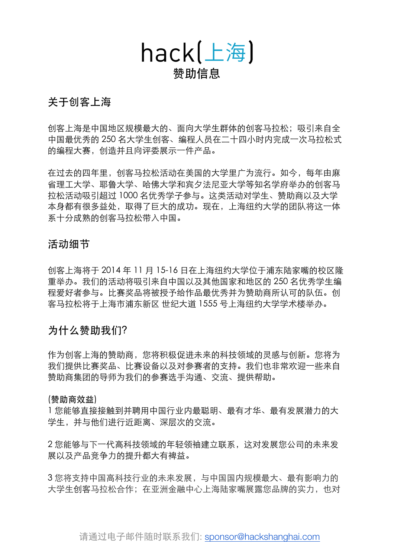

### 关于创客上海

创客上海是中国地区规模最大的、面向大学生群体的创客马拉松;吸引来自全 中国最优秀的 250 名大学生创客、编程人员在二十四小时内完成一次马拉松式 的编程大赛,创造并且向评委展示一件产品。

在过去的四年里,创客马拉松活动在美国的大学里广为流行。如今,每年由麻 省理工大学、耶鲁大学、哈佛大学和宾夕法尼亚大学等知名学府举办的创客马 拉松活动吸引超过 1000 名优秀学子参与。这类活动对学生、赞助商以及大学 本身都有很多益处,取得了巨大的成功。现在,上海纽约大学的团队将这一体 系十分成熟的创客马拉松带入中国。

#### 活动细节

创客上海将于 2014 年 11 月 15-16 日在上海纽约大学位于浦东陆家嘴的校区隆 重举办。我们的活动将吸引来自中国以及其他国家和地区的 250 名优秀学生编 程爱好者参与。比赛奖品将被授予给作品最优秀并为赞助商所认可的队伍。创 客马拉松将于上海市浦东新区 世纪大道 1555 号上海纽约大学学术楼举办。

#### 为什么赞助我们?

作为创客上海的赞助商,您将积极促进未来的科技领域的灵感与创新。您将为 我们提供比赛奖品、比赛设备以及对参赛者的支持。我们也非常欢迎一些来自 赞助商集团的导师为我们的参赛选手沟通、交流、提供帮助。

#### (赞助商效益)

1 您能够直接接触到并聘用中国行业内最聪明、最有才华、最有发展潜力的大 学生,并与他们进行近距离、深层次的交流。

2 您能够与下一代高科技领域的年轻领袖建立联系,这对发展您公司的未来发 展以及产品竞争力的提升都大有裨益。

3 您将支持中国高科技行业的未来发展,与中国国内规模最大、最有影响力的 大学生创客马拉松合作;在亚洲金融中心上海陆家嘴展露您品牌的实力,也对